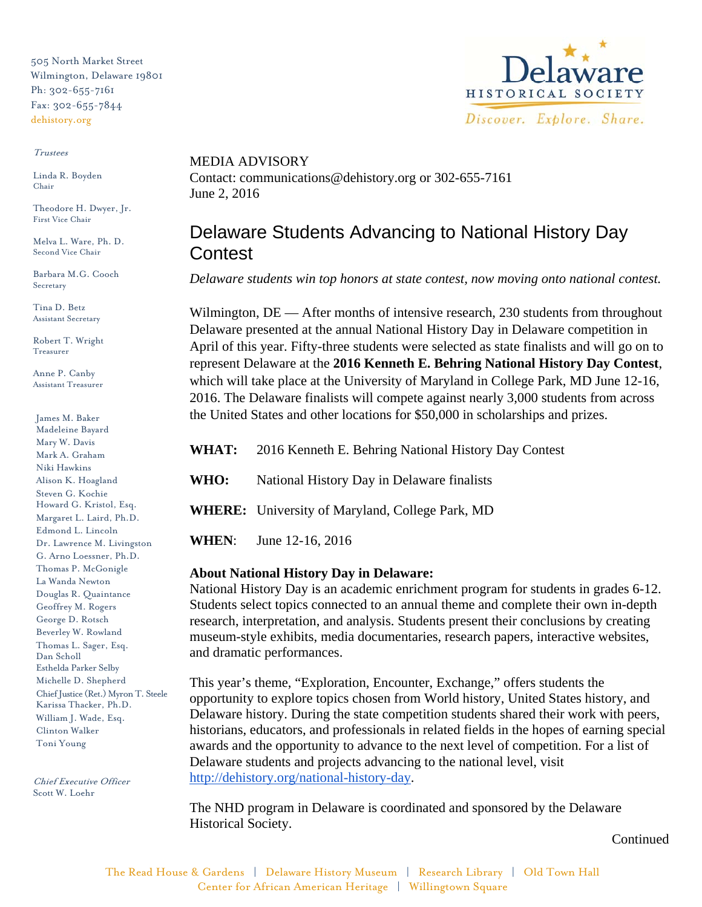505 North Market Street Wilmington, Delaware 19801 Ph: 302-655-7161 Fax: 302-655-7844 dehistory.org

#### Trustees

Linda R. Boyden Chair

Theodore H. Dwyer, Jr. First Vice Chair

Melva L. Ware, Ph. D. Second Vice Chair

Barbara M.G. Cooch Secretary

Tina D. Betz Assistant Secretary

Robert T. Wright Treasurer

Anne P. Canby Assistant Treasurer

James M. Baker Madeleine Bayard Mary W. Davis Mark A. Graham Niki Hawkins Alison K. Hoagland Steven G. Kochie Howard G. Kristol, Esq. Margaret L. Laird, Ph.D. Edmond L. Lincoln Dr. Lawrence M. Livingston G. Arno Loessner, Ph.D. Thomas P. McGonigle La Wanda Newton Douglas R. Quaintance Geoffrey M. Rogers George D. Rotsch Beverley W. Rowland Thomas L. Sager, Esq. Dan Scholl Esthelda Parker Selby Michelle D. Shepherd Chief Justice (Ret.) Myron T. Steele Karissa Thacker, Ph.D. William J. Wade, Esq. Clinton Walker Toni Young

Chief Executive Officer Scott W. Loehr



MEDIA ADVISORY Contact: communications@dehistory.org or 302-655-7161 June 2, 2016

# Delaware Students Advancing to National History Day **Contest**

*Delaware students win top honors at state contest, now moving onto national contest.*

Wilmington, DE — After months of intensive research, 230 students from throughout Delaware presented at the annual National History Day in Delaware competition in April of this year. Fifty-three students were selected as state finalists and will go on to represent Delaware at the **2016 Kenneth E. Behring National History Day Contest**, which will take place at the University of Maryland in College Park, MD June 12-16, 2016. The Delaware finalists will compete against nearly 3,000 students from across the United States and other locations for \$50,000 in scholarships and prizes.

|      | <b>WHAT:</b> 2016 Kenneth E. Behring National History Day Contest |
|------|-------------------------------------------------------------------|
| WHO: | National History Day in Delaware finalists                        |
|      | <b>WHERE:</b> University of Maryland, College Park, MD            |
|      | <b>WHEN:</b> June 12-16, 2016                                     |

### **About National History Day in Delaware:**

National History Day is an academic enrichment program for students in grades 6-12. Students select topics connected to an annual theme and complete their own in-depth research, interpretation, and analysis. Students present their conclusions by creating museum-style exhibits, media documentaries, research papers, interactive websites, and dramatic performances.

This year's theme, "Exploration, Encounter, Exchange," offers students the opportunity to explore topics chosen from World history, United States history, and Delaware history. During the state competition students shared their work with peers, historians, educators, and professionals in related fields in the hopes of earning special awards and the opportunity to advance to the next level of competition. For a list of Delaware students and projects advancing to the national level, visit http://dehistory.org/national-history-day.

The NHD program in Delaware is coordinated and sponsored by the Delaware Historical Society.

Continued